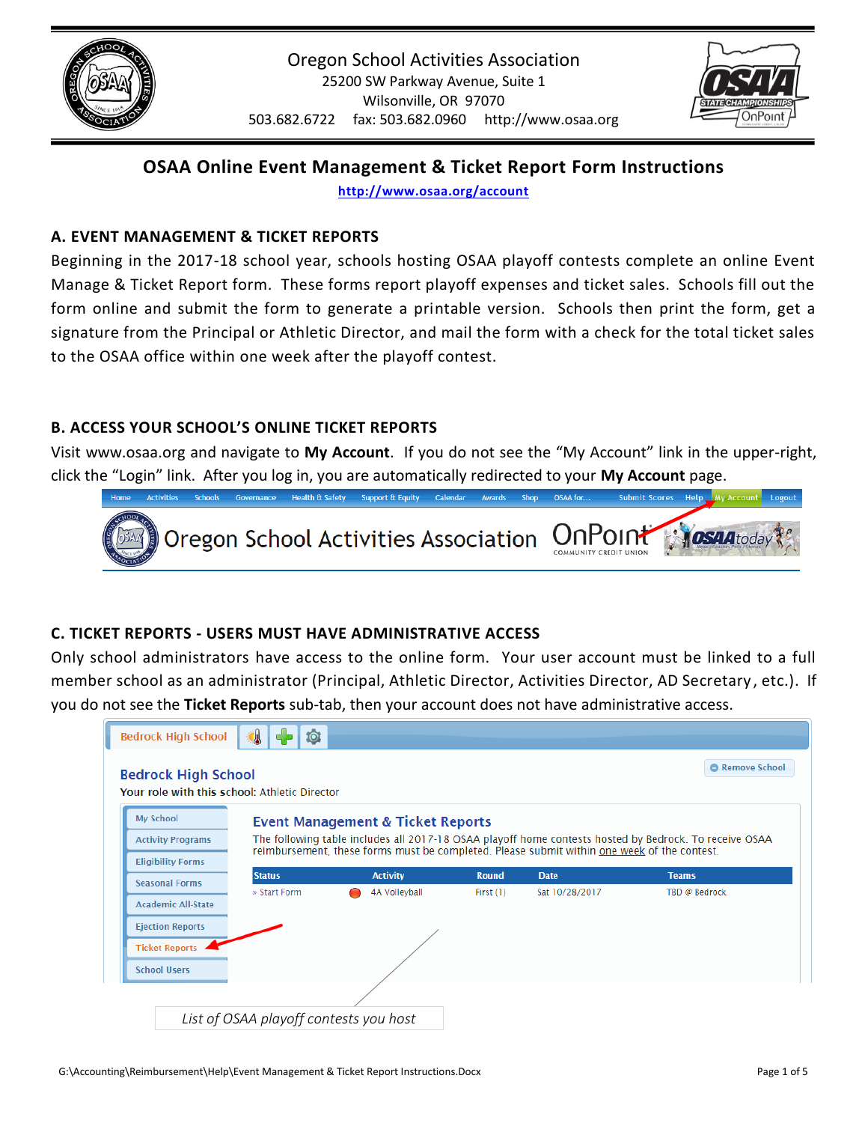



# **OSAA Online Event Management & Ticket Report Form Instructions**

**<http://www.osaa.org/account>**

## **A. EVENT MANAGEMENT & TICKET REPORTS**

Beginning in the 2017-18 school year, schools hosting OSAA playoff contests complete an online Event Manage & Ticket Report form. These forms report playoff expenses and ticket sales. Schools fill out the form online and submit the form to generate a printable version. Schools then print the form, get a signature from the Principal or Athletic Director, and mail the form with a check for the total ticket sales to the OSAA office within one week after the playoff contest.

## **B. ACCESS YOUR SCHOOL'S ONLINE TICKET REPORTS**

Visit www.osaa.org and navigate to **My Account**. If you do not see the "My Account" link in the upper-right, click the "Login" link. After you log in, you are automatically redirected to your **My Account** page.



## **C. TICKET REPORTS - USERS MUST HAVE ADMINISTRATIVE ACCESS**

Only school administrators have access to the online form. Your user account must be linked to a full member school as an administrator (Principal, Athletic Director, Activities Director, AD Secretary , etc.). If you do not see the **Ticket Reports** sub-tab, then your account does not have administrative access.

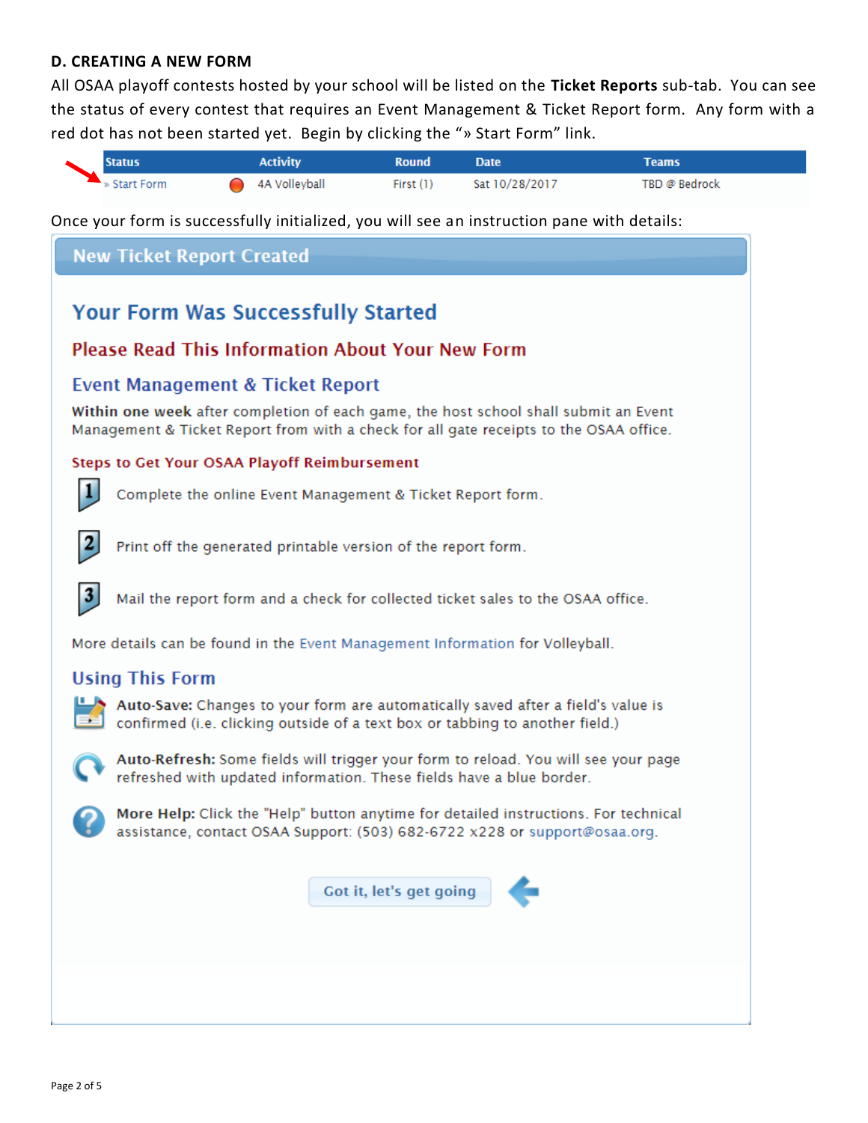#### **D. CREATING A NEW FORM**

All OSAA playoff contests hosted by your school will be listed on the **Ticket Reports** sub-tab. You can see the status of every contest that requires an Event Management & Ticket Report form. Any form with a red dot has not been started yet. Begin by clicking the "» Start Form" link.



Once your form is successfully initialized, you will see an instruction pane with details:

# **New Ticket Report Created Your Form Was Successfully Started Please Read This Information About Your New Form Event Management & Ticket Report** Within one week after completion of each game, the host school shall submit an Event Management & Ticket Report from with a check for all gate receipts to the OSAA office. **Steps to Get Your OSAA Playoff Reimbursement** 1 Complete the online Event Management & Ticket Report form. Print off the generated printable version of the report form. 3 Mail the report form and a check for collected ticket sales to the OSAA office. More details can be found in the Event Management Information for Volleyball. **Using This Form** Auto-Save: Changes to your form are automatically saved after a field's value is confirmed (i.e. clicking outside of a text box or tabbing to another field.) Auto-Refresh: Some fields will trigger your form to reload. You will see your page refreshed with updated information. These fields have a blue border. More Help: Click the "Help" button anytime for detailed instructions. For technical assistance, contact OSAA Support: (503) 682-6722 x228 or support@osaa.org. Got it, let's get going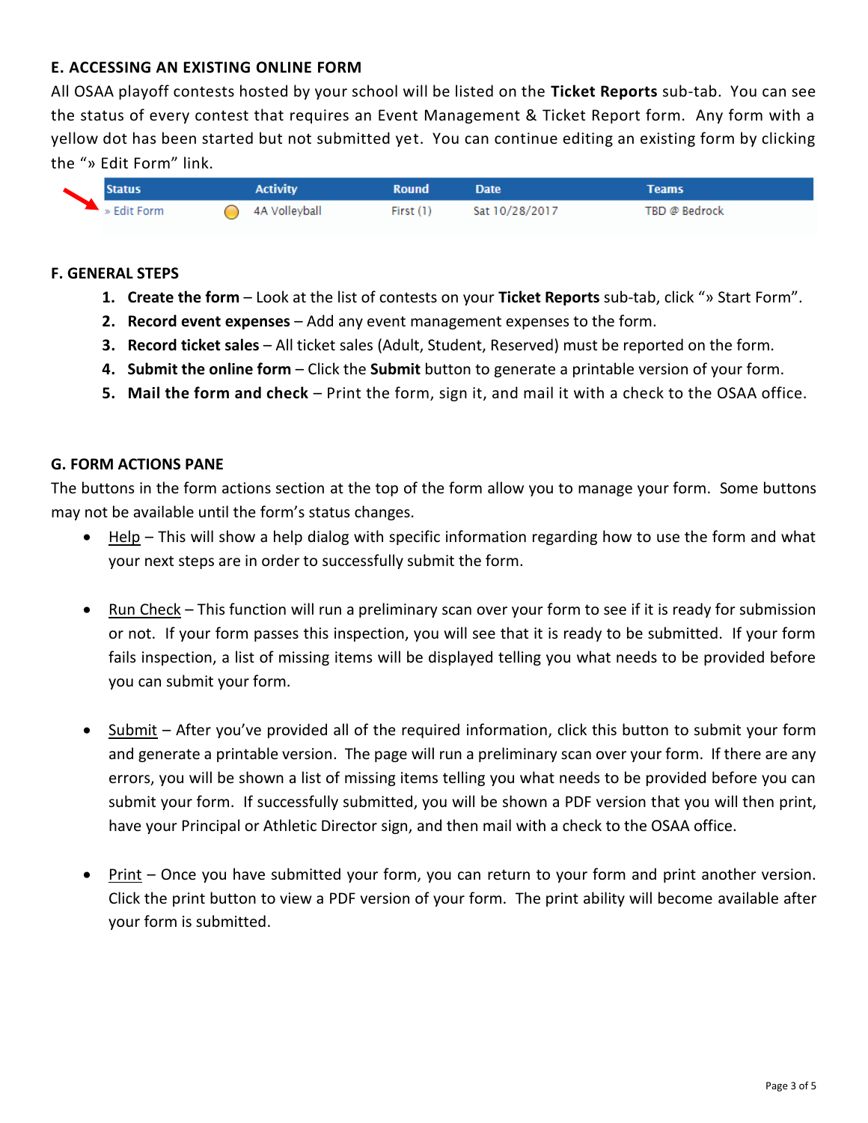## **E. ACCESSING AN EXISTING ONLINE FORM**

All OSAA playoff contests hosted by your school will be listed on the **Ticket Reports** sub-tab. You can see the status of every contest that requires an Event Management & Ticket Report form. Any form with a yellow dot has been started but not submitted yet. You can continue editing an existing form by clicking the "» Edit Form" link.

|  | <b>Status</b> |  | <b>Activity</b> | <b>Round</b> | <b>Date</b>    | Teams         |
|--|---------------|--|-----------------|--------------|----------------|---------------|
|  | » Edit Form   |  | 4A Volleyball   | First $(1)$  | Sat 10/28/2017 | TBD @ Bedrock |

#### **F. GENERAL STEPS**

- **1. Create the form** Look at the list of contests on your **Ticket Reports** sub-tab, click "» Start Form".
- **2. Record event expenses**  Add any event management expenses to the form.
- **3. Record ticket sales** All ticket sales (Adult, Student, Reserved) must be reported on the form.
- **4. Submit the online form** Click the **Submit** button to generate a printable version of your form.
- **5. Mail the form and check** Print the form, sign it, and mail it with a check to the OSAA office.

#### **G. FORM ACTIONS PANE**

The buttons in the form actions section at the top of the form allow you to manage your form. Some buttons may not be available until the form's status changes.

- Help This will show a help dialog with specific information regarding how to use the form and what your next steps are in order to successfully submit the form.
- Run Check This function will run a preliminary scan over your form to see if it is ready for submission or not. If your form passes this inspection, you will see that it is ready to be submitted. If your form fails inspection, a list of missing items will be displayed telling you what needs to be provided before you can submit your form.
- Submit After you've provided all of the required information, click this button to submit your form and generate a printable version. The page will run a preliminary scan over your form. If there are any errors, you will be shown a list of missing items telling you what needs to be provided before you can submit your form. If successfully submitted, you will be shown a PDF version that you will then print, have your Principal or Athletic Director sign, and then mail with a check to the OSAA office.
- Print Once you have submitted your form, you can return to your form and print another version. Click the print button to view a PDF version of your form. The print ability will become available after your form is submitted.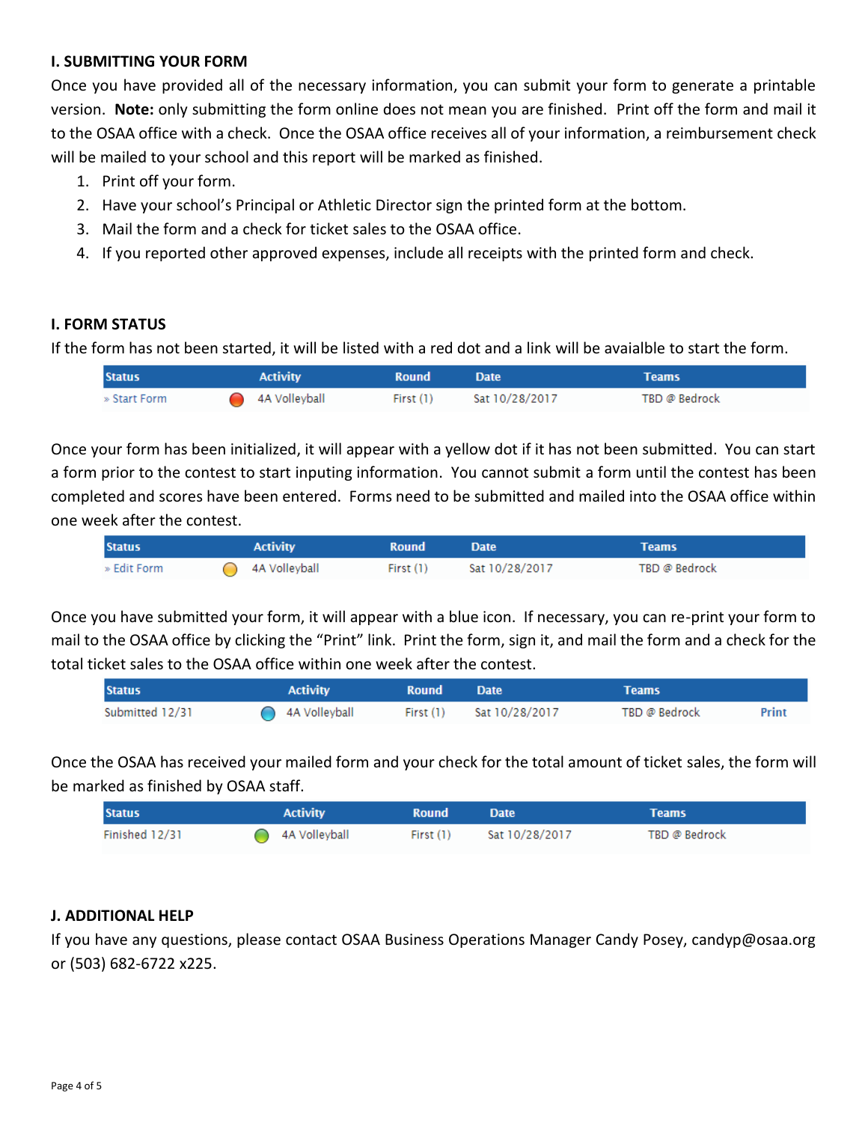## **I. SUBMITTING YOUR FORM**

Once you have provided all of the necessary information, you can submit your form to generate a printable version. **Note:** only submitting the form online does not mean you are finished. Print off the form and mail it to the OSAA office with a check. Once the OSAA office receives all of your information, a reimbursement check will be mailed to your school and this report will be marked as finished.

- 1. Print off your form.
- 2. Have your school's Principal or Athletic Director sign the printed form at the bottom.
- 3. Mail the form and a check for ticket sales to the OSAA office.
- 4. If you reported other approved expenses, include all receipts with the printed form and check.

## **I. FORM STATUS**

If the form has not been started, it will be listed with a red dot and a link will be avaialble to start the form.

| <b>Status</b> | <b>Activity</b> | <b>Round</b> | <b>Date</b>    | Teams         |
|---------------|-----------------|--------------|----------------|---------------|
| » Start Form  | 4A Volleyball   | First (1)    | Sat 10/28/2017 | TBD @ Bedrock |

Once your form has been initialized, it will appear with a yellow dot if it has not been submitted. You can start a form prior to the contest to start inputing information. You cannot submit a form until the contest has been completed and scores have been entered. Forms need to be submitted and mailed into the OSAA office within one week after the contest.

| <b>Status</b> | <b>Activity</b> | <b>Round</b> | <b>Date</b>    | Teams         |
|---------------|-----------------|--------------|----------------|---------------|
| » Edit Form   | 4A Volleyball   | First (1)    | Sat 10/28/2017 | TBD @ Bedrock |

Once you have submitted your form, it will appear with a blue icon. If necessary, you can re-print your form to mail to the OSAA office by clicking the "Print" link. Print the form, sign it, and mail the form and a check for the total ticket sales to the OSAA office within one week after the contest.

| <b>Status</b>   | <b>Activity</b> | <b>Round</b> | <b>Date</b>    | Teams         |       |
|-----------------|-----------------|--------------|----------------|---------------|-------|
| Submitted 12/31 | ◯ 4A Volleyball | First $(1)$  | Sat 10/28/2017 | TBD @ Bedrock | Print |

Once the OSAA has received your mailed form and your check for the total amount of ticket sales, the form will be marked as finished by OSAA staff.

| <b>Status</b>  | <b>Activity</b> | <b>Round</b> | <b>Date</b>    | Teams         |
|----------------|-----------------|--------------|----------------|---------------|
| Finished 12/31 | 4A Volleyball   | First $(1)$  | Sat 10/28/2017 | TBD @ Bedrock |

## **J. ADDITIONAL HELP**

If you have any questions, please contact OSAA Business Operations Manager Candy Posey, candyp@osaa.org or (503) 682-6722 x225.